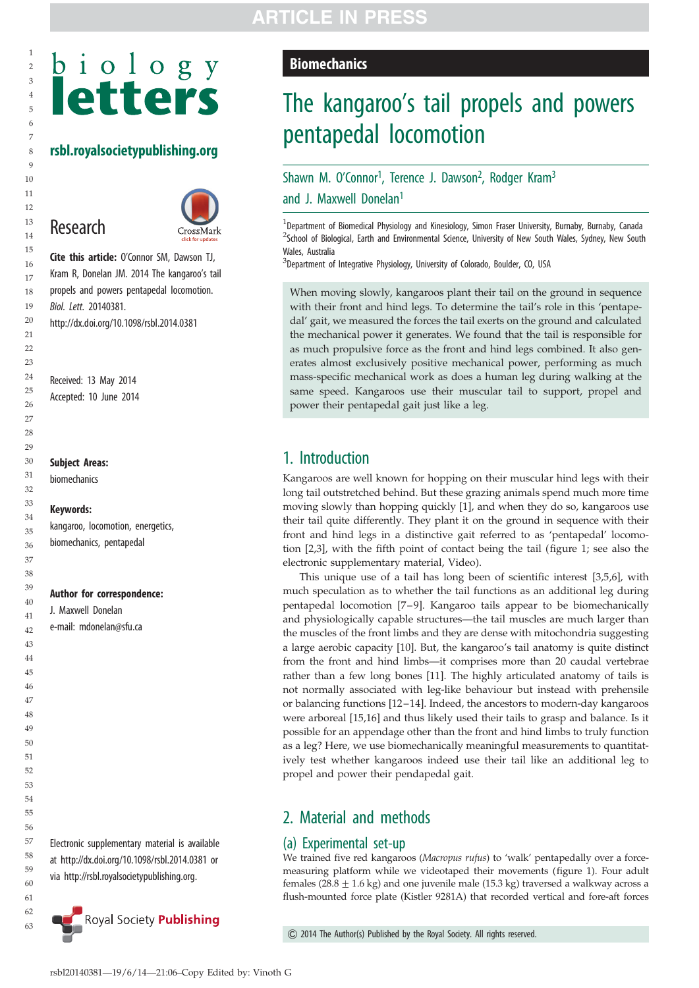## rsbl.royalsocietypublishing.org

# Research



Cite this article: O'Connor SM, Dawson TJ, Kram R, Donelan JM. 2014 The kangaroo's tail propels and powers pentapedal locomotion. Biol. Lett. 20140381. http://dx.doi.org/10.1098/rsbl.2014.0381

Received: 13 May 2014 Accepted: 10 June 2014

#### Subject Areas:

biomechanics

#### Keywords:

kangaroo, locomotion, energetics, biomechanics, pentapedal

#### Author for correspondence:

J. Maxwell Donelan e-mail: [mdonelan@sfu.ca](mailto:mdonelan@sfu.ca)

Electronic supplementary material is available at<http://dx.doi.org/10.1098/rsbl.2014.0381> or via<http://rsbl.royalsocietypublishing.org>.



## ARTICLE IN PRESS

#### **Biomechanics**

# The kangaroo's tail propels and powers pentapedal locomotion

## Shawn M. O'Connor<sup>1</sup>, Terence J. Dawson<sup>2</sup>, Rodger Kram<sup>3</sup> and J. Maxwell Donelan<sup>1</sup>

<sup>1</sup>Department of Biomedical Physiology and Kinesiology, Simon Fraser University, Burnaby, Burnaby, Canada <sup>2</sup>School of Biological, Earth and Environmental Science, University of New South Wales, Sydney, New South Wales, Australia

<sup>3</sup>Department of Integrative Physiology, University of Colorado, Boulder, CO, USA

When moving slowly, kangaroos plant their tail on the ground in sequence with their front and hind legs. To determine the tail's role in this 'pentapedal' gait, we measured the forces the tail exerts on the ground and calculated the mechanical power it generates. We found that the tail is responsible for as much propulsive force as the front and hind legs combined. It also generates almost exclusively positive mechanical power, performing as much mass-specific mechanical work as does a human leg during walking at the same speed. Kangaroos use their muscular tail to support, propel and power their pentapedal gait just like a leg.

## 1. Introduction

Kangaroos are well known for hopping on their muscular hind legs with their long tail outstretched behind. But these grazing animals spend much more time moving slowly than hopping quickly [\[1\]](#page-3-0), and when they do so, kangaroos use their tail quite differently. They plant it on the ground in sequence with their front and hind legs in a distinctive gait referred to as 'pentapedal' locomotion [[2](#page-3-0),[3](#page-3-0)], with the fifth point of contact being the tail ([figure 1;](#page-1-0) see also the electronic supplementary material, Video).

This unique use of a tail has long been of scientific interest [[3,5,6\]](#page-3-0), with much speculation as to whether the tail functions as an additional leg during pentapedal locomotion [[7](#page-3-0)–9]. Kangaroo tails appear to be biomechanically and physiologically capable structures—the tail muscles are much larger than the muscles of the front limbs and they are dense with mitochondria suggesting a large aerobic capacity [[10\]](#page-3-0). But, the kangaroo's tail anatomy is quite distinct from the front and hind limbs—it comprises more than 20 caudal vertebrae rather than a few long bones [\[11](#page-3-0)]. The highly articulated anatomy of tails is not normally associated with leg-like behaviour but instead with prehensile or balancing functions [[12](#page-3-0) –[14](#page-3-0)]. Indeed, the ancestors to modern-day kangaroos were arboreal [[15,16\]](#page-3-0) and thus likely used their tails to grasp and balance. Is it possible for an appendage other than the front and hind limbs to truly function as a leg? Here, we use biomechanically meaningful measurements to quantitatively test whether kangaroos indeed use their tail like an additional leg to propel and power their pendapedal gait.

## 2. Material and methods

#### (a) Experimental set-up

We trained five red kangaroos (Macropus rufus) to 'walk' pentapedally over a forcemeasuring platform while we videotaped their movements ([figure 1\)](#page-1-0). Four adult females (28.8  $\pm$  1.6 kg) and one juvenile male (15.3 kg) traversed a walkway across a flush-mounted force plate (Kistler 9281A) that recorded vertical and fore-aft forces

& 2014 The Author(s) Published by the Royal Society. All rights reserved.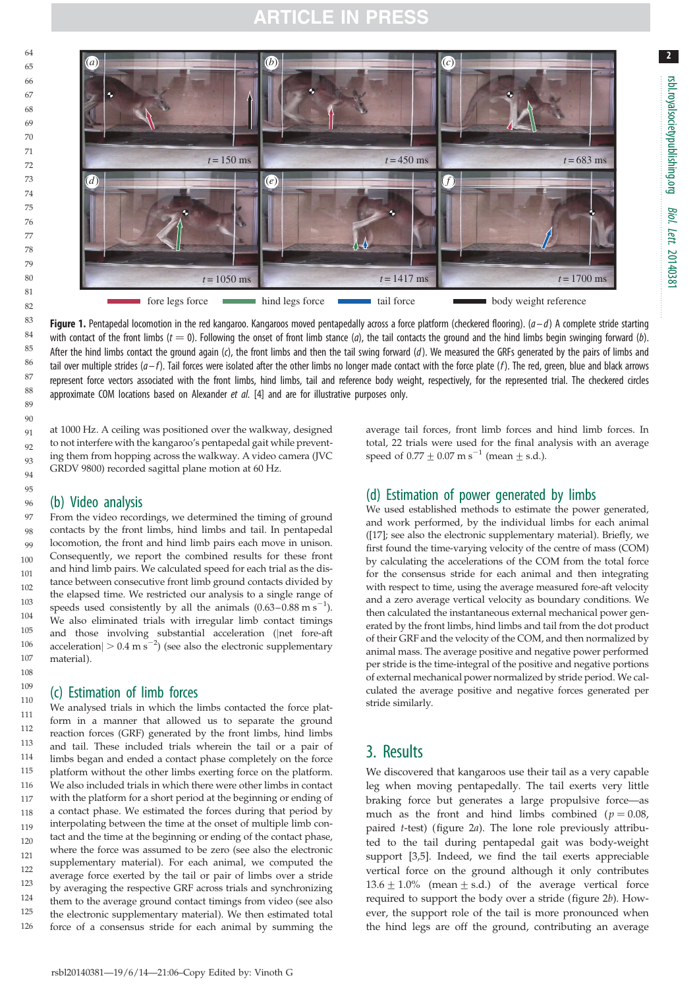## ARTICLE IN PRESS

<span id="page-1-0"></span>

**Figure 1.** Pentapedal locomotion in the red kangaroo. Kangaroos moved pentapedally across a force platform (checkered flooring).  $(a-d)$  A complete stride starting with contact of the front limbs ( $t = 0$ ). Following the onset of front limb stance (a), the tail contacts the ground and the hind limbs begin swinging forward (b). After the hind limbs contact the ground again (c), the front limbs and then the tail swing forward  $(d)$ . We measured the GRFs generated by the pairs of limbs and tail over multiple strides ( $a-f$ ). Tail forces were isolated after the other limbs no longer made contact with the force plate (f). The red, green, blue and black arrows represent force vectors associated with the front limbs, hind limbs, tail and reference body weight, respectively, for the represented trial. The checkered circles approximate COM locations based on Alexander et al. [[4\]](#page-3-0) and are for illustrative purposes only.

at 1000 Hz. A ceiling was positioned over the walkway, designed to not interfere with the kangaroo's pentapedal gait while preventing them from hopping across the walkway. A video camera (JVC GRDV 9800) recorded sagittal plane motion at 60 Hz.

#### (b) Video analysis

From the video recordings, we determined the timing of ground contacts by the front limbs, hind limbs and tail. In pentapedal locomotion, the front and hind limb pairs each move in unison. Consequently, we report the combined results for these front and hind limb pairs. We calculated speed for each trial as the distance between consecutive front limb ground contacts divided by the elapsed time. We restricted our analysis to a single range of speeds used consistently by all the animals  $(0.63-0.88 \text{ m s}^{-1})$ . We also eliminated trials with irregular limb contact timings and those involving substantial acceleration (jnet fore-aft acceleration $| > 0.4$  m s<sup>-2</sup>) (see also the electronic supplementary material).

#### (c) Estimation of limb forces

We analysed trials in which the limbs contacted the force platform in a manner that allowed us to separate the ground reaction forces (GRF) generated by the front limbs, hind limbs and tail. These included trials wherein the tail or a pair of limbs began and ended a contact phase completely on the force platform without the other limbs exerting force on the platform. We also included trials in which there were other limbs in contact with the platform for a short period at the beginning or ending of a contact phase. We estimated the forces during that period by interpolating between the time at the onset of multiple limb contact and the time at the beginning or ending of the contact phase, where the force was assumed to be zero (see also the electronic supplementary material). For each animal, we computed the average force exerted by the tail or pair of limbs over a stride by averaging the respective GRF across trials and synchronizing them to the average ground contact timings from video (see also the electronic supplementary material). We then estimated total force of a consensus stride for each animal by summing the 120 121 122 123 124 125 126

average tail forces, front limb forces and hind limb forces. In total, 22 trials were used for the final analysis with an average speed of  $0.77 \pm 0.07$  m s<sup>-1</sup> (mean  $\pm$  s.d.).

rsbl.royalsocietypublishing.org

rsbl.royalsocietypublishing.org

Biol.Lett.

20140381

## (d) Estimation of power generated by limbs

We used established methods to estimate the power generated, and work performed, by the individual limbs for each animal ([\[17\]](#page-3-0); see also the electronic supplementary material). Briefly, we first found the time-varying velocity of the centre of mass (COM) by calculating the accelerations of the COM from the total force for the consensus stride for each animal and then integrating with respect to time, using the average measured fore-aft velocity and a zero average vertical velocity as boundary conditions. We then calculated the instantaneous external mechanical power generated by the front limbs, hind limbs and tail from the dot product of their GRF and the velocity of the COM, and then normalized by animal mass. The average positive and negative power performed per stride is the time-integral of the positive and negative portions of external mechanical power normalized by stride period. We calculated the average positive and negative forces generated per stride similarly.

## 3. Results

We discovered that kangaroos use their tail as a very capable leg when moving pentapedally. The tail exerts very little braking force but generates a large propulsive force—as much as the front and hind limbs combined ( $p = 0.08$ , paired t-test) [\(figure 2](#page-2-0)a). The lone role previously attributed to the tail during pentapedal gait was body-weight support [\[3,5](#page-3-0)]. Indeed, we find the tail exerts appreciable vertical force on the ground although it only contributes  $13.6 \pm 1.0\%$  (mean  $\pm$  s.d.) of the average vertical force required to support the body over a stride ([figure 2](#page-2-0)b). However, the support role of the tail is more pronounced when the hind legs are off the ground, contributing an average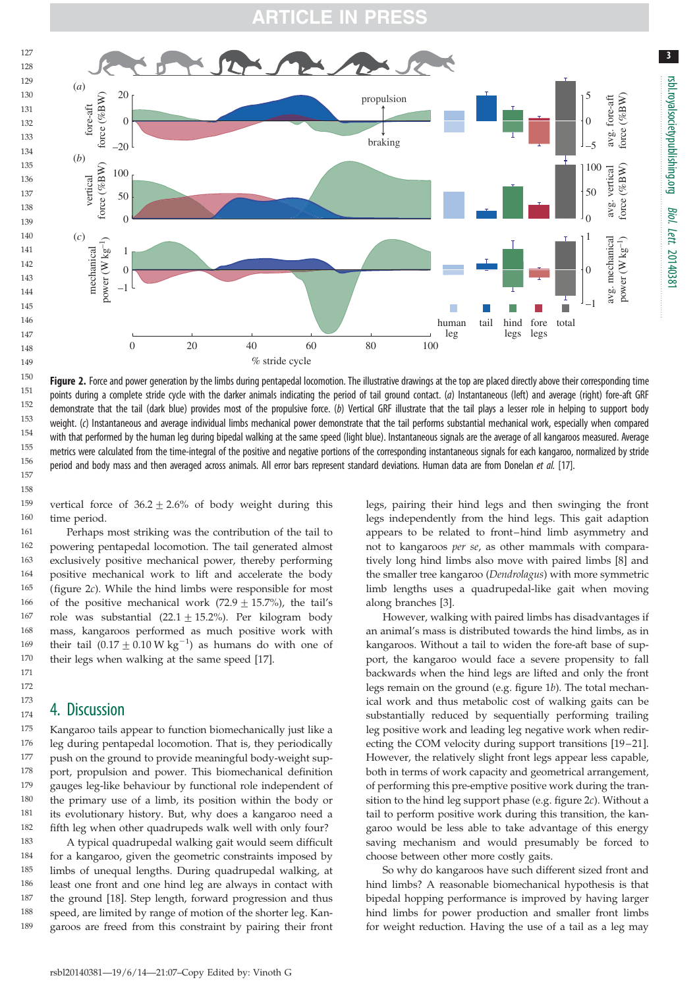## RTICLE I

<span id="page-2-0"></span>

Figure 2. Force and power generation by the limbs during pentapedal locomotion. The illustrative drawings at the top are placed directly above their corresponding time points during a complete stride cycle with the darker animals indicating the period of tail ground contact. (a) Instantaneous (left) and average (right) fore-aft GRF demonstrate that the tail (dark blue) provides most of the propulsive force. (b) Vertical GRF illustrate that the tail plays a lesser role in helping to support body weight. (c) Instantaneous and average individual limbs mechanical power demonstrate that the tail performs substantial mechanical work, especially when compared with that performed by the human leg during bipedal walking at the same speed (light blue). Instantaneous signals are the average of all kangaroos measured. Average metrics were calculated from the time-integral of the positive and negative portions of the corresponding instantaneous signals for each kangaroo, normalized by stride period and body mass and then averaged across animals. All error bars represent standard deviations. Human data are from Donelan et al. [\[17\]](#page-3-0).

vertical force of  $36.2 \pm 2.6\%$  of body weight during this time period. 159 160

Perhaps most striking was the contribution of the tail to powering pentapedal locomotion. The tail generated almost exclusively positive mechanical power, thereby performing positive mechanical work to lift and accelerate the body (figure 2c). While the hind limbs were responsible for most of the positive mechanical work  $(72.9 + 15.7%)$ , the tail's role was substantial  $(22.1 + 15.2\%)$ . Per kilogram body mass, kangaroos performed as much positive work with their tail  $(0.17 \pm 0.10 \,\mathrm{W \,kg}^{-1})$  as humans do with one of their legs when walking at the same speed [[17\]](#page-3-0). 169 170

#### 4. Discussion

Kangaroo tails appear to function biomechanically just like a leg during pentapedal locomotion. That is, they periodically push on the ground to provide meaningful body-weight support, propulsion and power. This biomechanical definition gauges leg-like behaviour by functional role independent of the primary use of a limb, its position within the body or its evolutionary history. But, why does a kangaroo need a fifth leg when other quadrupeds walk well with only four? 175 176 177 178 179 180 181 182

A typical quadrupedal walking gait would seem difficult for a kangaroo, given the geometric constraints imposed by limbs of unequal lengths. During quadrupedal walking, at least one front and one hind leg are always in contact with the ground [[18\]](#page-3-0). Step length, forward progression and thus speed, are limited by range of motion of the shorter leg. Kangaroos are freed from this constraint by pairing their front 183 184 185 186 187 188 189

legs, pairing their hind legs and then swinging the front legs independently from the hind legs. This gait adaption appears to be related to front –hind limb asymmetry and not to kangaroos per se, as other mammals with comparatively long hind limbs also move with paired limbs [[8](#page-3-0)] and the smaller tree kangaroo (Dendrolagus) with more symmetric limb lengths uses a quadrupedal-like gait when moving along branches [[3](#page-3-0)].

However, walking with paired limbs has disadvantages if an animal's mass is distributed towards the hind limbs, as in kangaroos. Without a tail to widen the fore-aft base of support, the kangaroo would face a severe propensity to fall backwards when the hind legs are lifted and only the front legs remain on the ground (e.g. [figure 1](#page-1-0)b). The total mechanical work and thus metabolic cost of walking gaits can be substantially reduced by sequentially performing trailing leg positive work and leading leg negative work when redir-ecting the COM velocity during support transitions [\[19](#page-3-0)–21]. However, the relatively slight front legs appear less capable, both in terms of work capacity and geometrical arrangement, of performing this pre-emptive positive work during the transition to the hind leg support phase (e.g. figure 2c). Without a tail to perform positive work during this transition, the kangaroo would be less able to take advantage of this energy saving mechanism and would presumably be forced to choose between other more costly gaits.

So why do kangaroos have such different sized front and hind limbs? A reasonable biomechanical hypothesis is that bipedal hopping performance is improved by having larger hind limbs for power production and smaller front limbs for weight reduction. Having the use of a tail as a leg may